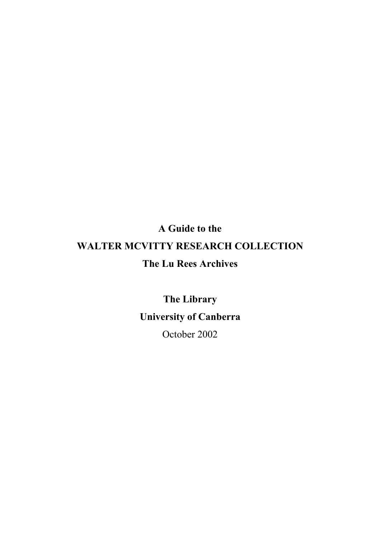# **A Guide to the WALTER MCVITTY RESEARCH COLLECTION The Lu Rees Archives**

**The Library University of Canberra**

October 2002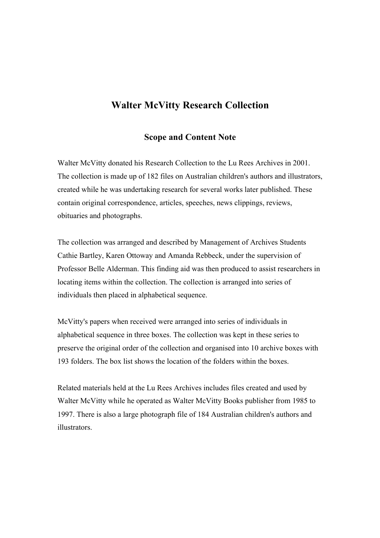# **Walter McVitty Research Collection**

#### **Scope and Content Note**

Walter McVitty donated his Research Collection to the Lu Rees Archives in 2001. The collection is made up of 182 files on Australian children's authors and illustrators, created while he was undertaking research for several works later published. These contain original correspondence, articles, speeches, news clippings, reviews, obituaries and photographs.

The collection was arranged and described by Management of Archives Students Cathie Bartley, Karen Ottoway and Amanda Rebbeck, under the supervision of Professor Belle Alderman. This finding aid was then produced to assist researchers in locating items within the collection. The collection is arranged into series of individuals then placed in alphabetical sequence.

McVitty's papers when received were arranged into series of individuals in alphabetical sequence in three boxes. The collection was kept in these series to preserve the original order of the collection and organised into 10 archive boxes with 193 folders. The box list shows the location of the folders within the boxes.

Related materials held at the Lu Rees Archives includes files created and used by Walter McVitty while he operated as Walter McVitty Books publisher from 1985 to 1997. There is also a large photograph file of 184 Australian children's authors and illustrators.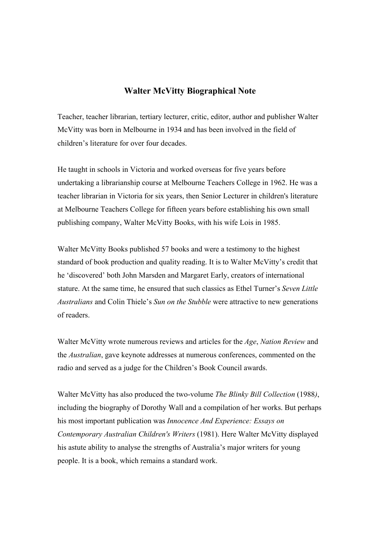### **Walter McVitty Biographical Note**

Teacher, teacher librarian, tertiary lecturer, critic, editor, author and publisher Walter McVitty was born in Melbourne in 1934 and has been involved in the field of children's literature for over four decades.

He taught in schools in Victoria and worked overseas for five years before undertaking a librarianship course at Melbourne Teachers College in 1962. He was a teacher librarian in Victoria for six years, then Senior Lecturer in children's literature at Melbourne Teachers College for fifteen years before establishing his own small publishing company, Walter McVitty Books, with his wife Lois in 1985.

Walter McVitty Books published 57 books and were a testimony to the highest standard of book production and quality reading. It is to Walter McVitty's credit that he 'discovered' both John Marsden and Margaret Early, creators of international stature. At the same time, he ensured that such classics as Ethel Turner's *Seven Little Australians* and Colin Thiele's *Sun on the Stubble* were attractive to new generations of readers.

Walter McVitty wrote numerous reviews and articles for the *Age*, *Nation Review* and the *Australian*, gave keynote addresses at numerous conferences, commented on the radio and served as a judge for the Children's Book Council awards.

Walter McVitty has also produced the two-volume *The Blinky Bill Collection* (1988*)*, including the biography of Dorothy Wall and a compilation of her works. But perhaps his most important publication was *Innocence And Experience: Essays on Contemporary Australian Children's Writers* (1981). Here Walter McVitty displayed his astute ability to analyse the strengths of Australia's major writers for young people. It is a book, which remains a standard work.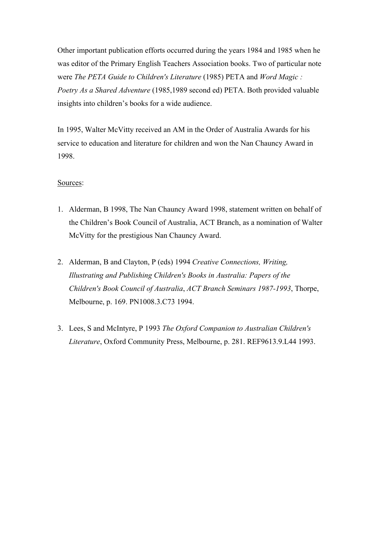Other important publication efforts occurred during the years 1984 and 1985 when he was editor of the Primary English Teachers Association books. Two of particular note were *The PETA Guide to Children's Literature* (1985) PETA and *Word Magic : Poetry As a Shared Adventure* (1985,1989 second ed) PETA. Both provided valuable insights into children's books for a wide audience.

In 1995, Walter McVitty received an AM in the Order of Australia Awards for his service to education and literature for children and won the Nan Chauncy Award in 1998.

#### Sources:

- 1. Alderman, B 1998, The Nan Chauncy Award 1998, statement written on behalf of the Children's Book Council of Australia, ACT Branch, as a nomination of Walter McVitty for the prestigious Nan Chauncy Award.
- 2. Alderman, B and Clayton, P (eds) 1994 *Creative Connections, Writing, Illustrating and Publishing Children's Books in Australia: Papers of the Children's Book Council of Australia*, *ACT Branch Seminars 1987-1993*, Thorpe, Melbourne, p. 169. PN1008.3.C73 1994.
- 3. Lees, S and McIntyre, P 1993 *The Oxford Companion to Australian Children's Literature*, Oxford Community Press, Melbourne, p. 281. REF9613.9.L44 1993.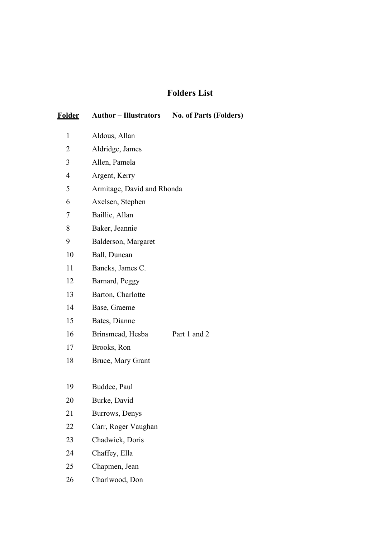# **Folders List**

| <b>Folder</b>  | <b>Author – Illustrators</b> | <b>No. of Parts (Folders)</b> |  |
|----------------|------------------------------|-------------------------------|--|
| 1              | Aldous, Allan                |                               |  |
| $\overline{2}$ | Aldridge, James              |                               |  |
| 3              | Allen, Pamela                |                               |  |
| 4              | Argent, Kerry                |                               |  |
| 5              | Armitage, David and Rhonda   |                               |  |
| 6              | Axelsen, Stephen             |                               |  |
| 7              | Baillie, Allan               |                               |  |
| 8              | Baker, Jeannie               |                               |  |
| 9              | Balderson, Margaret          |                               |  |
| 10             | Ball, Duncan                 |                               |  |
| 11             | Bancks, James C.             |                               |  |
| 12             | Barnard, Peggy               |                               |  |
| 13             | Barton, Charlotte            |                               |  |
| 14             | Base, Graeme                 |                               |  |
| 15             | Bates, Dianne                |                               |  |
| 16             | Brinsmead, Hesba             | Part 1 and 2                  |  |
| 17             | Brooks, Ron                  |                               |  |
| 18             | Bruce, Mary Grant            |                               |  |
|                |                              |                               |  |
| 19             | Buddee, Paul                 |                               |  |
| 20             | Burke, David                 |                               |  |
| 21             | Burrows, Denys               |                               |  |
| 22             | Carr, Roger Vaughan          |                               |  |
| 23             | Chadwick, Doris              |                               |  |
| 24             | Chaffey, Ella                |                               |  |
| 25             | Chapmen, Jean                |                               |  |
| 26             | Charlwood, Don               |                               |  |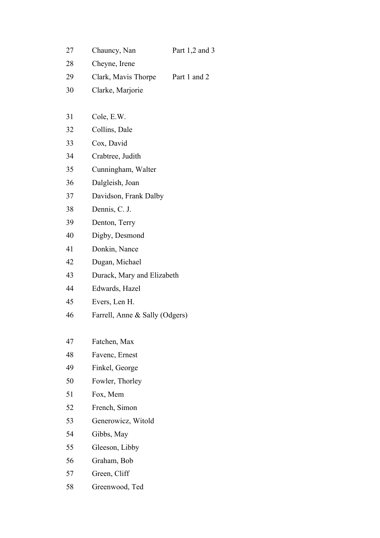| 27 | Chauncy, Nan                   | Part $1,2$ and 3           |  |
|----|--------------------------------|----------------------------|--|
| 28 | Cheyne, Irene                  |                            |  |
| 29 | Clark, Mavis Thorpe            | Part 1 and 2               |  |
| 30 | Clarke, Marjorie               |                            |  |
|    |                                |                            |  |
| 31 | Cole, E.W.                     |                            |  |
| 32 | Collins, Dale                  |                            |  |
| 33 | Cox, David                     |                            |  |
| 34 | Crabtree, Judith               |                            |  |
| 35 | Cunningham, Walter             |                            |  |
| 36 | Dalgleish, Joan                |                            |  |
| 37 | Davidson, Frank Dalby          |                            |  |
| 38 | Dennis, C. J.                  |                            |  |
| 39 | Denton, Terry                  |                            |  |
| 40 | Digby, Desmond                 |                            |  |
| 41 | Donkin, Nance                  |                            |  |
| 42 | Dugan, Michael                 |                            |  |
| 43 |                                | Durack, Mary and Elizabeth |  |
| 44 | Edwards, Hazel                 |                            |  |
| 45 | Evers, Len H.                  |                            |  |
| 46 | Farrell, Anne & Sally (Odgers) |                            |  |
|    |                                |                            |  |
| 47 | Fatchen, Max                   |                            |  |
| 48 | Favenc, Ernest                 |                            |  |
| 49 | Finkel, George                 |                            |  |
| 50 | Fowler, Thorley                |                            |  |
| 51 | Fox, Mem                       |                            |  |
| 52 | French, Simon                  |                            |  |
| 53 | Generowicz, Witold             |                            |  |
| 54 | Gibbs, May                     |                            |  |
| 55 | Gleeson, Libby                 |                            |  |
| 56 | Graham, Bob                    |                            |  |
| 57 | Green, Cliff                   |                            |  |
| 58 | Greenwood, Ted                 |                            |  |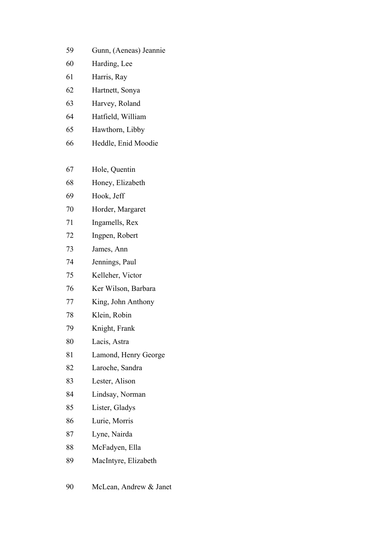| 59 | Gunn, (Aeneas) Jeannie |  |
|----|------------------------|--|
|    |                        |  |

- Harding, Lee
- Harris, Ray
- Hartnett, Sonya
- Harvey, Roland
- Hatfield, William
- Hawthorn, Libby
- Heddle, Enid Moodie
- Hole, Quentin
- Honey, Elizabeth
- Hook, Jeff
- Horder, Margaret
- Ingamells, Rex
- Ingpen, Robert
- James, Ann
- Jennings, Paul
- Kelleher, Victor
- Ker Wilson, Barbara
- King, John Anthony
- Klein, Robin
- Knight, Frank
- Lacis, Astra
- Lamond, Henry George
- Laroche, Sandra
- Lester, Alison
- Lindsay, Norman
- Lister, Gladys
- Lurie, Morris
- Lyne, Nairda
- McFadyen, Ella
- MacIntyre, Elizabeth
- McLean, Andrew & Janet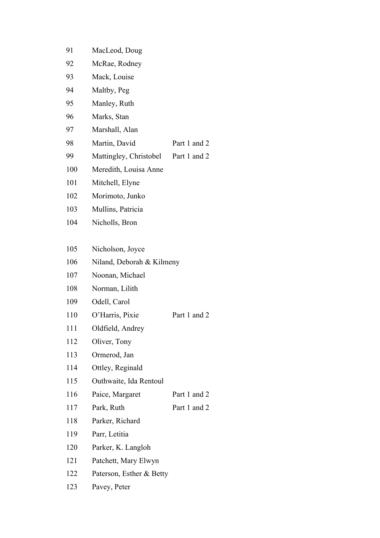| 91  | MacLeod, Doug             |              |  |
|-----|---------------------------|--------------|--|
| 92  | McRae, Rodney             |              |  |
| 93  | Mack, Louise              |              |  |
| 94  | Maltby, Peg               |              |  |
| 95  | Manley, Ruth              |              |  |
| 96  | Marks, Stan               |              |  |
| 97  | Marshall, Alan            |              |  |
| 98  | Martin, David             | Part 1 and 2 |  |
| 99  | Mattingley, Christobel    | Part 1 and 2 |  |
| 100 | Meredith, Louisa Anne     |              |  |
| 101 | Mitchell, Elyne           |              |  |
| 102 | Morimoto, Junko           |              |  |
| 103 | Mullins, Patricia         |              |  |
| 104 | Nicholls, Bron            |              |  |
|     |                           |              |  |
| 105 | Nicholson, Joyce          |              |  |
| 106 | Niland, Deborah & Kilmeny |              |  |
| 107 | Noonan, Michael           |              |  |
| 108 | Norman, Lilith            |              |  |
| 109 | Odell, Carol              |              |  |
| 110 | O'Harris, Pixie           | Part 1 and 2 |  |
| 111 | Oldfield, Andrey          |              |  |
| 112 | Oliver, Tony              |              |  |
| 113 | Ormerod, Jan              |              |  |
| 114 | Ottley, Reginald          |              |  |
| 115 | Outhwaite, Ida Rentoul    |              |  |
| 116 | Paice, Margaret           | Part 1 and 2 |  |
| 117 | Park, Ruth                | Part 1 and 2 |  |
| 118 | Parker, Richard           |              |  |
| 119 | Parr, Letitia             |              |  |
| 120 | Parker, K. Langloh        |              |  |
| 121 | Patchett, Mary Elwyn      |              |  |

- Paterson, Esther & Betty
- Pavey, Peter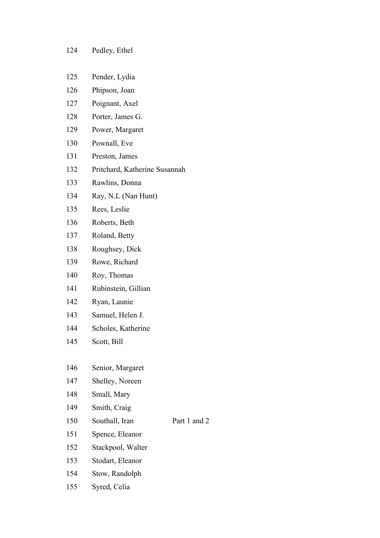#### Pedley, Ethel

- Pender, Lydia
- Phipson, Joan
- Poignant, Axel
- Porter, James G.
- Power, Margaret
- Pownall, Eve
- Preston, James
- Pritchard, Katherine Susannah
- Rawlins, Donna
- Ray, N.L (Nan Hunt)
- Rees, Leslie
- Roberts, Beth
- Roland, Betty
- Roughsey, Dick
- Rowe, Richard
- Roy, Thomas
- Rubinstein, Gillian
- Ryan, Launie
- Samuel, Helen J.
- Scholes, Katherine
- Scott, Bill

## Senior, Margaret

- Shelley, Noreen
- Small, Mary
- 149 Smith, Craig
- 150 Southall, Iran Part 1 and 2
- Spence, Eleanor
- Stackpool, Walter
- Stodart, Eleanor
- Stow, Randolph
- Syred, Celia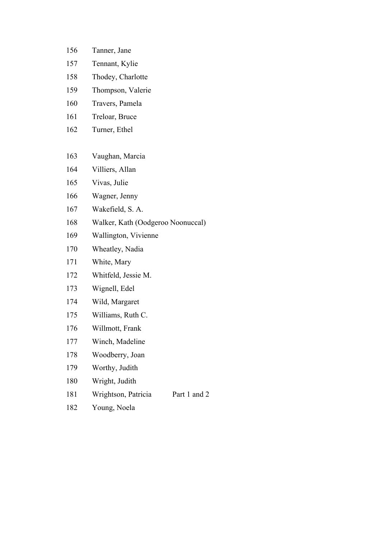- Tanner, Jane
- Tennant, Kylie
- Thodey, Charlotte
- Thompson, Valerie
- Travers, Pamela
- Treloar, Bruce
- Turner, Ethel
- Vaughan, Marcia
- Villiers, Allan
- Vivas, Julie
- Wagner, Jenny
- Wakefield, S. A.
- Walker, Kath (Oodgeroo Noonuccal)
- Wallington, Vivienne
- Wheatley, Nadia
- White, Mary
- Whitfeld, Jessie M.
- Wignell, Edel
- Wild, Margaret
- Williams, Ruth C.
- Willmott, Frank
- Winch, Madeline
- Woodberry, Joan
- Worthy, Judith
- Wright, Judith
- 181 Wrightson, Patricia Part 1 and 2
- Young, Noela